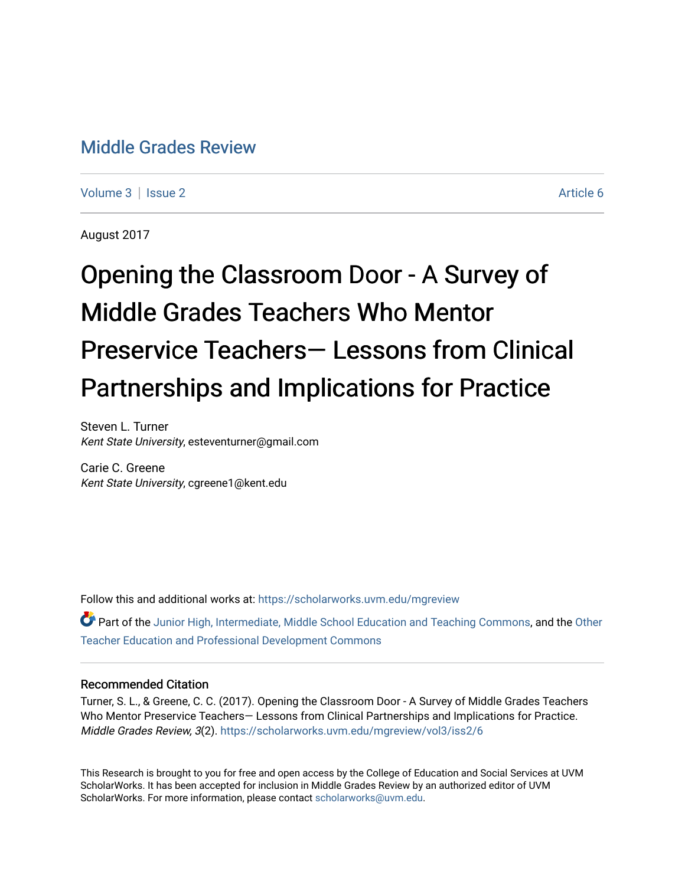# [Middle Grades Review](https://scholarworks.uvm.edu/mgreview)

[Volume 3](https://scholarworks.uvm.edu/mgreview/vol3) | [Issue 2](https://scholarworks.uvm.edu/mgreview/vol3/iss2) Article 6

August 2017

# Opening the Classroom Door - A Survey of Middle Grades Teachers Who Mentor Preservice Teachers— Lessons from Clinical Partnerships and Implications for Practice

Steven L. Turner Kent State University, esteventurner@gmail.com

Carie C. Greene Kent State University, cgreene1@kent.edu

Follow this and additional works at: [https://scholarworks.uvm.edu/mgreview](https://scholarworks.uvm.edu/mgreview?utm_source=scholarworks.uvm.edu%2Fmgreview%2Fvol3%2Fiss2%2F6&utm_medium=PDF&utm_campaign=PDFCoverPages) 

Part of the [Junior High, Intermediate, Middle School Education and Teaching Commons](http://network.bepress.com/hgg/discipline/807?utm_source=scholarworks.uvm.edu%2Fmgreview%2Fvol3%2Fiss2%2F6&utm_medium=PDF&utm_campaign=PDFCoverPages), and the Other [Teacher Education and Professional Development Commons](http://network.bepress.com/hgg/discipline/810?utm_source=scholarworks.uvm.edu%2Fmgreview%2Fvol3%2Fiss2%2F6&utm_medium=PDF&utm_campaign=PDFCoverPages)

# Recommended Citation

Turner, S. L., & Greene, C. C. (2017). Opening the Classroom Door - A Survey of Middle Grades Teachers Who Mentor Preservice Teachers— Lessons from Clinical Partnerships and Implications for Practice. Middle Grades Review, 3(2). [https://scholarworks.uvm.edu/mgreview/vol3/iss2/6](https://scholarworks.uvm.edu/mgreview/vol3/iss2/6?utm_source=scholarworks.uvm.edu%2Fmgreview%2Fvol3%2Fiss2%2F6&utm_medium=PDF&utm_campaign=PDFCoverPages)

This Research is brought to you for free and open access by the College of Education and Social Services at UVM ScholarWorks. It has been accepted for inclusion in Middle Grades Review by an authorized editor of UVM ScholarWorks. For more information, please contact [scholarworks@uvm.edu](mailto:scholarworks@uvm.edu).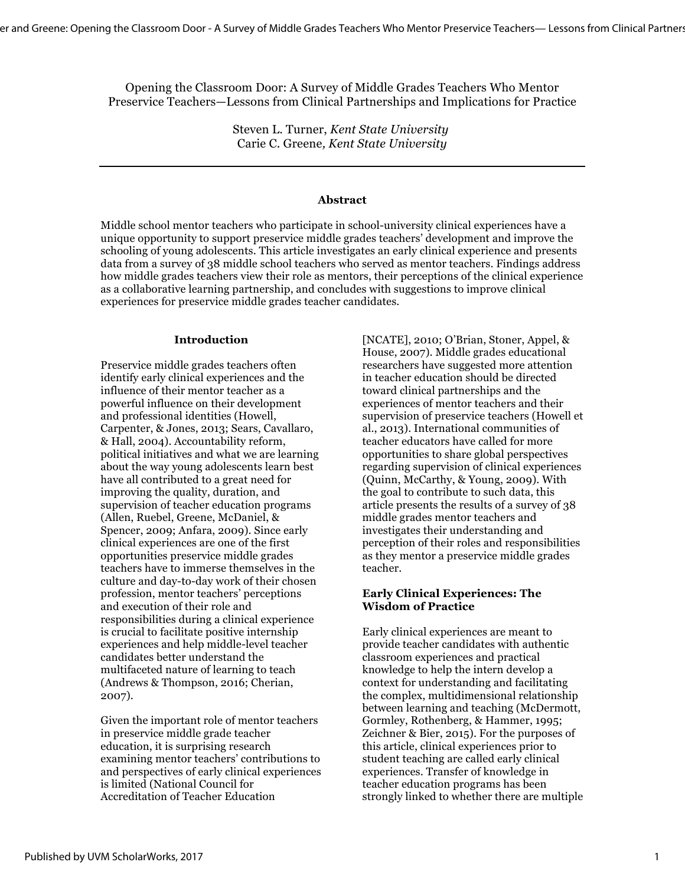Opening the Classroom Door: A Survey of Middle Grades Teachers Who Mentor Preservice Teachers—Lessons from Clinical Partnerships and Implications for Practice

> Steven L. Turner, *Kent State University* Carie C. Greene*, Kent State University*

#### **Abstract**

Middle school mentor teachers who participate in school-university clinical experiences have a unique opportunity to support preservice middle grades teachers' development and improve the schooling of young adolescents. This article investigates an early clinical experience and presents data from a survey of 38 middle school teachers who served as mentor teachers. Findings address how middle grades teachers view their role as mentors, their perceptions of the clinical experience as a collaborative learning partnership, and concludes with suggestions to improve clinical experiences for preservice middle grades teacher candidates.

#### **Introduction**

Preservice middle grades teachers often identify early clinical experiences and the influence of their mentor teacher as a powerful influence on their development and professional identities (Howell, Carpenter, & Jones, 2013; Sears, Cavallaro, & Hall, 2004). Accountability reform, political initiatives and what we are learning about the way young adolescents learn best have all contributed to a great need for improving the quality, duration, and supervision of teacher education programs (Allen, Ruebel, Greene, McDaniel, & Spencer, 2009; Anfara, 2009). Since early clinical experiences are one of the first opportunities preservice middle grades teachers have to immerse themselves in the culture and day-to-day work of their chosen profession, mentor teachers' perceptions and execution of their role and responsibilities during a clinical experience is crucial to facilitate positive internship experiences and help middle-level teacher candidates better understand the multifaceted nature of learning to teach (Andrews & Thompson, 2016; Cherian, 2007).

Given the important role of mentor teachers in preservice middle grade teacher education, it is surprising research examining mentor teachers' contributions to and perspectives of early clinical experiences is limited (National Council for Accreditation of Teacher Education

[NCATE], 2010; O'Brian, Stoner, Appel, & House, 2007). Middle grades educational researchers have suggested more attention in teacher education should be directed toward clinical partnerships and the experiences of mentor teachers and their supervision of preservice teachers (Howell et al., 2013). International communities of teacher educators have called for more opportunities to share global perspectives regarding supervision of clinical experiences (Quinn, McCarthy, & Young, 2009). With the goal to contribute to such data, this article presents the results of a survey of 38 middle grades mentor teachers and investigates their understanding and perception of their roles and responsibilities as they mentor a preservice middle grades teacher.

#### **Early Clinical Experiences: The Wisdom of Practice**

Early clinical experiences are meant to provide teacher candidates with authentic classroom experiences and practical knowledge to help the intern develop a context for understanding and facilitating the complex, multidimensional relationship between learning and teaching (McDermott, Gormley, Rothenberg, & Hammer, 1995; Zeichner & Bier, 2015). For the purposes of this article, clinical experiences prior to student teaching are called early clinical experiences. Transfer of knowledge in teacher education programs has been strongly linked to whether there are multiple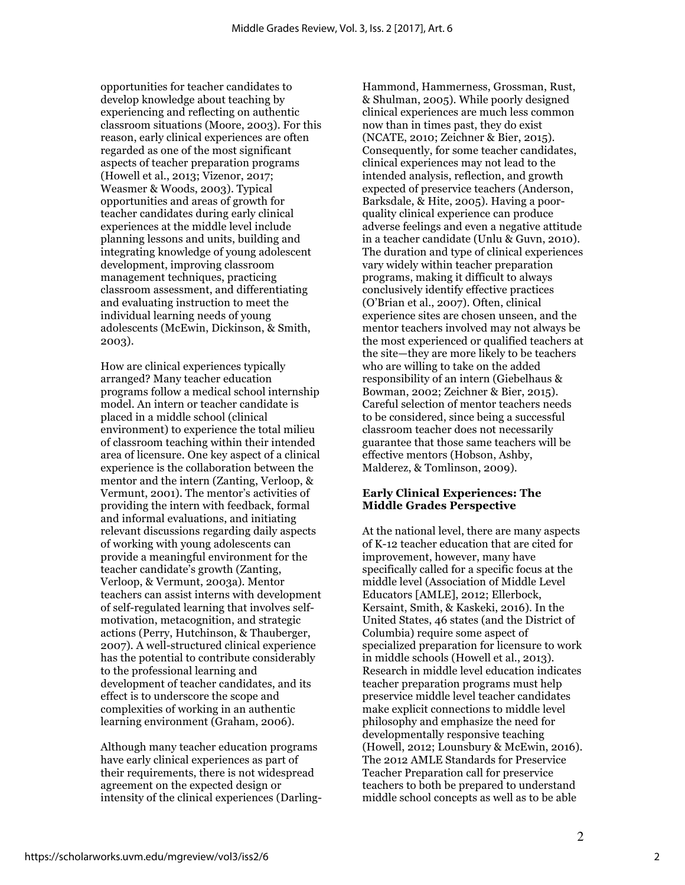opportunities for teacher candidates to develop knowledge about teaching by experiencing and reflecting on authentic classroom situations (Moore, 2003). For this reason, early clinical experiences are often regarded as one of the most significant aspects of teacher preparation programs (Howell et al., 2013; Vizenor, 2017; Weasmer & Woods, 2003). Typical opportunities and areas of growth for teacher candidates during early clinical experiences at the middle level include planning lessons and units, building and integrating knowledge of young adolescent development, improving classroom management techniques, practicing classroom assessment, and differentiating and evaluating instruction to meet the individual learning needs of young adolescents (McEwin, Dickinson, & Smith, 2003).

How are clinical experiences typically arranged? Many teacher education programs follow a medical school internship model. An intern or teacher candidate is placed in a middle school (clinical environment) to experience the total milieu of classroom teaching within their intended area of licensure. One key aspect of a clinical experience is the collaboration between the mentor and the intern (Zanting, Verloop, & Vermunt, 2001). The mentor's activities of providing the intern with feedback, formal and informal evaluations, and initiating relevant discussions regarding daily aspects of working with young adolescents can provide a meaningful environment for the teacher candidate's growth (Zanting, Verloop, & Vermunt, 2003a). Mentor teachers can assist interns with development of self-regulated learning that involves selfmotivation, metacognition, and strategic actions (Perry, Hutchinson, & Thauberger, 2007). A well-structured clinical experience has the potential to contribute considerably to the professional learning and development of teacher candidates, and its effect is to underscore the scope and complexities of working in an authentic learning environment (Graham, 2006).

Although many teacher education programs have early clinical experiences as part of their requirements, there is not widespread agreement on the expected design or intensity of the clinical experiences (DarlingHammond, Hammerness, Grossman, Rust, & Shulman, 2005). While poorly designed clinical experiences are much less common now than in times past, they do exist (NCATE, 2010; Zeichner & Bier, 2015). Consequently, for some teacher candidates, clinical experiences may not lead to the intended analysis, reflection, and growth expected of preservice teachers (Anderson, Barksdale, & Hite, 2005). Having a poorquality clinical experience can produce adverse feelings and even a negative attitude in a teacher candidate (Unlu & Guvn, 2010). The duration and type of clinical experiences vary widely within teacher preparation programs, making it difficult to always conclusively identify effective practices (O'Brian et al., 2007). Often, clinical experience sites are chosen unseen, and the mentor teachers involved may not always be the most experienced or qualified teachers at the site—they are more likely to be teachers who are willing to take on the added responsibility of an intern (Giebelhaus & Bowman, 2002; Zeichner & Bier, 2015). Careful selection of mentor teachers needs to be considered, since being a successful classroom teacher does not necessarily guarantee that those same teachers will be effective mentors (Hobson, Ashby, Malderez, & Tomlinson, 2009).

# **Early Clinical Experiences: The Middle Grades Perspective**

At the national level, there are many aspects of K-12 teacher education that are cited for improvement, however, many have specifically called for a specific focus at the middle level (Association of Middle Level Educators [AMLE], 2012; Ellerbock, Kersaint, Smith, & Kaskeki, 2016). In the United States, 46 states (and the District of Columbia) require some aspect of specialized preparation for licensure to work in middle schools (Howell et al., 2013). Research in middle level education indicates teacher preparation programs must help preservice middle level teacher candidates make explicit connections to middle level philosophy and emphasize the need for developmentally responsive teaching (Howell, 2012; Lounsbury & McEwin, 2016). The 2012 AMLE Standards for Preservice Teacher Preparation call for preservice teachers to both be prepared to understand middle school concepts as well as to be able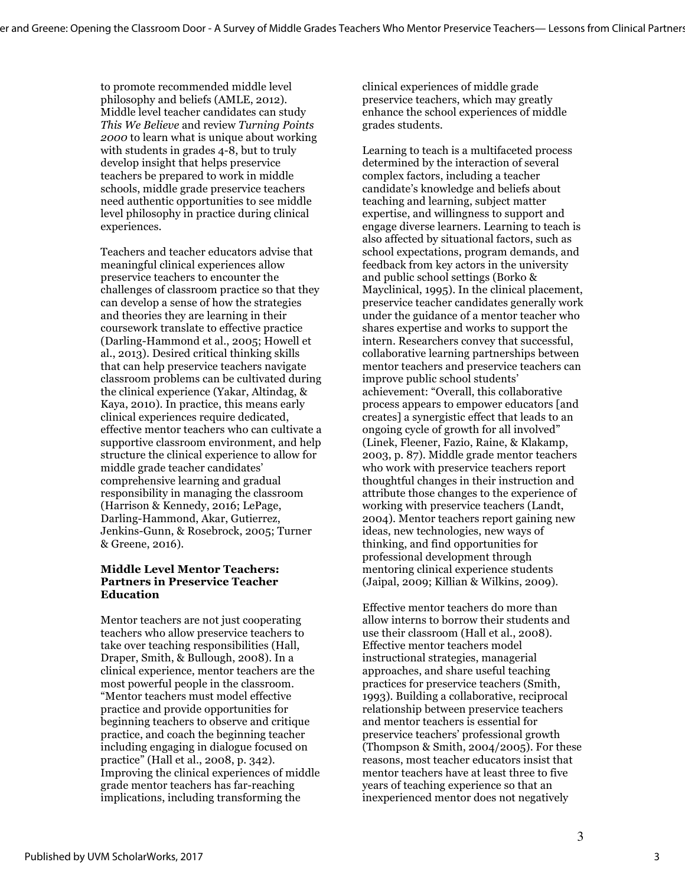to promote recommended middle level philosophy and beliefs (AMLE, 2012). Middle level teacher candidates can study *This We Believe* and review *Turning Points 2000* to learn what is unique about working with students in grades 4-8, but to truly develop insight that helps preservice teachers be prepared to work in middle schools, middle grade preservice teachers need authentic opportunities to see middle level philosophy in practice during clinical experiences.

Teachers and teacher educators advise that meaningful clinical experiences allow preservice teachers to encounter the challenges of classroom practice so that they can develop a sense of how the strategies and theories they are learning in their coursework translate to effective practice (Darling-Hammond et al., 2005; Howell et al., 2013). Desired critical thinking skills that can help preservice teachers navigate classroom problems can be cultivated during the clinical experience (Yakar, Altindag, & Kaya, 2010). In practice, this means early clinical experiences require dedicated, effective mentor teachers who can cultivate a supportive classroom environment, and help structure the clinical experience to allow for middle grade teacher candidates' comprehensive learning and gradual responsibility in managing the classroom (Harrison & Kennedy, 2016; LePage, Darling-Hammond, Akar, Gutierrez, Jenkins-Gunn, & Rosebrock, 2005; Turner & Greene, 2016).

### **Middle Level Mentor Teachers: Partners in Preservice Teacher Education**

Mentor teachers are not just cooperating teachers who allow preservice teachers to take over teaching responsibilities (Hall, Draper, Smith, & Bullough, 2008). In a clinical experience, mentor teachers are the most powerful people in the classroom. "Mentor teachers must model effective practice and provide opportunities for beginning teachers to observe and critique practice, and coach the beginning teacher including engaging in dialogue focused on practice" (Hall et al., 2008, p. 342). Improving the clinical experiences of middle grade mentor teachers has far-reaching implications, including transforming the

clinical experiences of middle grade preservice teachers, which may greatly enhance the school experiences of middle grades students.

Learning to teach is a multifaceted process determined by the interaction of several complex factors, including a teacher candidate's knowledge and beliefs about teaching and learning, subject matter expertise, and willingness to support and engage diverse learners. Learning to teach is also affected by situational factors, such as school expectations, program demands, and feedback from key actors in the university and public school settings (Borko & Mayclinical, 1995). In the clinical placement, preservice teacher candidates generally work under the guidance of a mentor teacher who shares expertise and works to support the intern. Researchers convey that successful, collaborative learning partnerships between mentor teachers and preservice teachers can improve public school students' achievement: "Overall, this collaborative process appears to empower educators [and creates] a synergistic effect that leads to an ongoing cycle of growth for all involved" (Linek, Fleener, Fazio, Raine, & Klakamp, 2003, p. 87). Middle grade mentor teachers who work with preservice teachers report thoughtful changes in their instruction and attribute those changes to the experience of working with preservice teachers (Landt, 2004). Mentor teachers report gaining new ideas, new technologies, new ways of thinking, and find opportunities for professional development through mentoring clinical experience students (Jaipal, 2009; Killian & Wilkins, 2009).

Effective mentor teachers do more than allow interns to borrow their students and use their classroom (Hall et al., 2008). Effective mentor teachers model instructional strategies, managerial approaches, and share useful teaching practices for preservice teachers (Smith, 1993). Building a collaborative, reciprocal relationship between preservice teachers and mentor teachers is essential for preservice teachers' professional growth (Thompson & Smith, 2004/2005). For these reasons, most teacher educators insist that mentor teachers have at least three to five years of teaching experience so that an inexperienced mentor does not negatively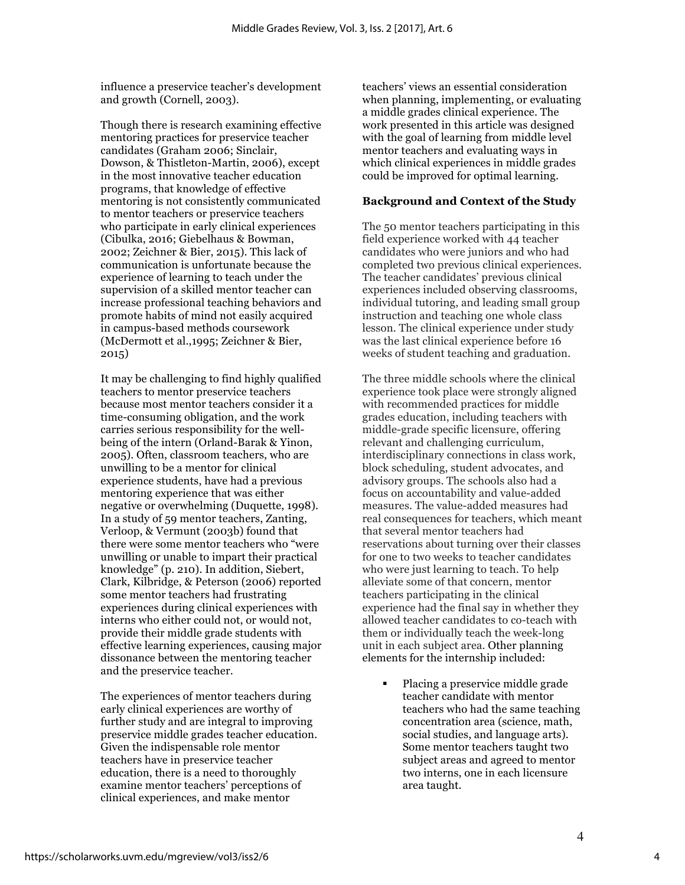influence a preservice teacher's development and growth (Cornell, 2003).

Though there is research examining effective mentoring practices for preservice teacher candidates (Graham 2006; Sinclair, Dowson, & Thistleton-Martin, 2006), except in the most innovative teacher education programs, that knowledge of effective mentoring is not consistently communicated to mentor teachers or preservice teachers who participate in early clinical experiences (Cibulka, 2016; Giebelhaus & Bowman, 2002; Zeichner & Bier, 2015). This lack of communication is unfortunate because the experience of learning to teach under the supervision of a skilled mentor teacher can increase professional teaching behaviors and promote habits of mind not easily acquired in campus-based methods coursework (McDermott et al.,1995; Zeichner & Bier, 2015)

It may be challenging to find highly qualified teachers to mentor preservice teachers because most mentor teachers consider it a time-consuming obligation, and the work carries serious responsibility for the wellbeing of the intern (Orland-Barak & Yinon, 2005). Often, classroom teachers, who are unwilling to be a mentor for clinical experience students, have had a previous mentoring experience that was either negative or overwhelming (Duquette, 1998). In a study of 59 mentor teachers, Zanting, Verloop, & Vermunt (2003b) found that there were some mentor teachers who "were unwilling or unable to impart their practical knowledge" (p. 210). In addition, Siebert, Clark, Kilbridge, & Peterson (2006) reported some mentor teachers had frustrating experiences during clinical experiences with interns who either could not, or would not, provide their middle grade students with effective learning experiences, causing major dissonance between the mentoring teacher and the preservice teacher.

The experiences of mentor teachers during early clinical experiences are worthy of further study and are integral to improving preservice middle grades teacher education. Given the indispensable role mentor teachers have in preservice teacher education, there is a need to thoroughly examine mentor teachers' perceptions of clinical experiences, and make mentor

teachers' views an essential consideration when planning, implementing, or evaluating a middle grades clinical experience. The work presented in this article was designed with the goal of learning from middle level mentor teachers and evaluating ways in which clinical experiences in middle grades could be improved for optimal learning.

### **Background and Context of the Study**

The 50 mentor teachers participating in this field experience worked with 44 teacher candidates who were juniors and who had completed two previous clinical experiences. The teacher candidates' previous clinical experiences included observing classrooms, individual tutoring, and leading small group instruction and teaching one whole class lesson. The clinical experience under study was the last clinical experience before 16 weeks of student teaching and graduation.

The three middle schools where the clinical experience took place were strongly aligned with recommended practices for middle grades education, including teachers with middle-grade specific licensure, offering relevant and challenging curriculum, interdisciplinary connections in class work, block scheduling, student advocates, and advisory groups. The schools also had a focus on accountability and value-added measures. The value-added measures had real consequences for teachers, which meant that several mentor teachers had reservations about turning over their classes for one to two weeks to teacher candidates who were just learning to teach. To help alleviate some of that concern, mentor teachers participating in the clinical experience had the final say in whether they allowed teacher candidates to co-teach with them or individually teach the week-long unit in each subject area. Other planning elements for the internship included:

> § Placing a preservice middle grade teacher candidate with mentor teachers who had the same teaching concentration area (science, math, social studies, and language arts). Some mentor teachers taught two subject areas and agreed to mentor two interns, one in each licensure area taught.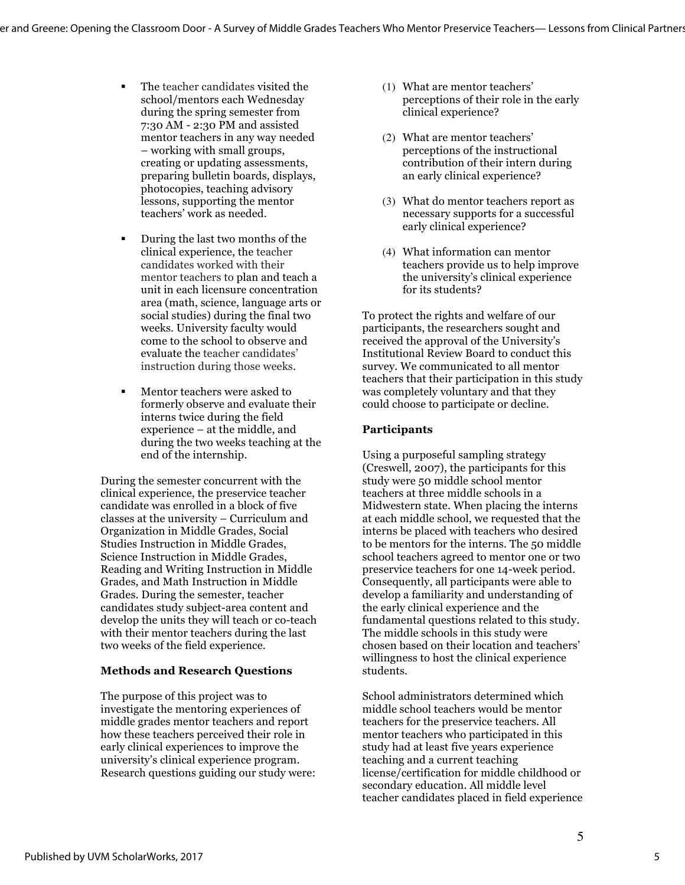- The teacher candidates visited the school/mentors each Wednesday during the spring semester from 7:30 AM - 2:30 PM and assisted mentor teachers in any way needed – working with small groups, creating or updating assessments, preparing bulletin boards, displays, photocopies, teaching advisory lessons, supporting the mentor teachers' work as needed.
- § During the last two months of the clinical experience, the teacher candidates worked with their mentor teachers to plan and teach a unit in each licensure concentration area (math, science, language arts or social studies) during the final two weeks. University faculty would come to the school to observe and evaluate the teacher candidates' instruction during those weeks.
- **Mentor teachers were asked to** formerly observe and evaluate their interns twice during the field experience – at the middle, and during the two weeks teaching at the end of the internship.

During the semester concurrent with the clinical experience, the preservice teacher candidate was enrolled in a block of five classes at the university – Curriculum and Organization in Middle Grades, Social Studies Instruction in Middle Grades, Science Instruction in Middle Grades, Reading and Writing Instruction in Middle Grades, and Math Instruction in Middle Grades. During the semester, teacher candidates study subject-area content and develop the units they will teach or co-teach with their mentor teachers during the last two weeks of the field experience.

# **Methods and Research Questions**

The purpose of this project was to investigate the mentoring experiences of middle grades mentor teachers and report how these teachers perceived their role in early clinical experiences to improve the university's clinical experience program. Research questions guiding our study were:

- (1) What are mentor teachers' perceptions of their role in the early clinical experience?
- (2) What are mentor teachers' perceptions of the instructional contribution of their intern during an early clinical experience?
- (3) What do mentor teachers report as necessary supports for a successful early clinical experience?
- (4) What information can mentor teachers provide us to help improve the university's clinical experience for its students?

To protect the rights and welfare of our participants, the researchers sought and received the approval of the University's Institutional Review Board to conduct this survey. We communicated to all mentor teachers that their participation in this study was completely voluntary and that they could choose to participate or decline.

# **Participants**

Using a purposeful sampling strategy (Creswell, 2007), the participants for this study were 50 middle school mentor teachers at three middle schools in a Midwestern state. When placing the interns at each middle school, we requested that the interns be placed with teachers who desired to be mentors for the interns. The 50 middle school teachers agreed to mentor one or two preservice teachers for one 14-week period. Consequently, all participants were able to develop a familiarity and understanding of the early clinical experience and the fundamental questions related to this study. The middle schools in this study were chosen based on their location and teachers' willingness to host the clinical experience students.

School administrators determined which middle school teachers would be mentor teachers for the preservice teachers. All mentor teachers who participated in this study had at least five years experience teaching and a current teaching license/certification for middle childhood or secondary education. All middle level teacher candidates placed in field experience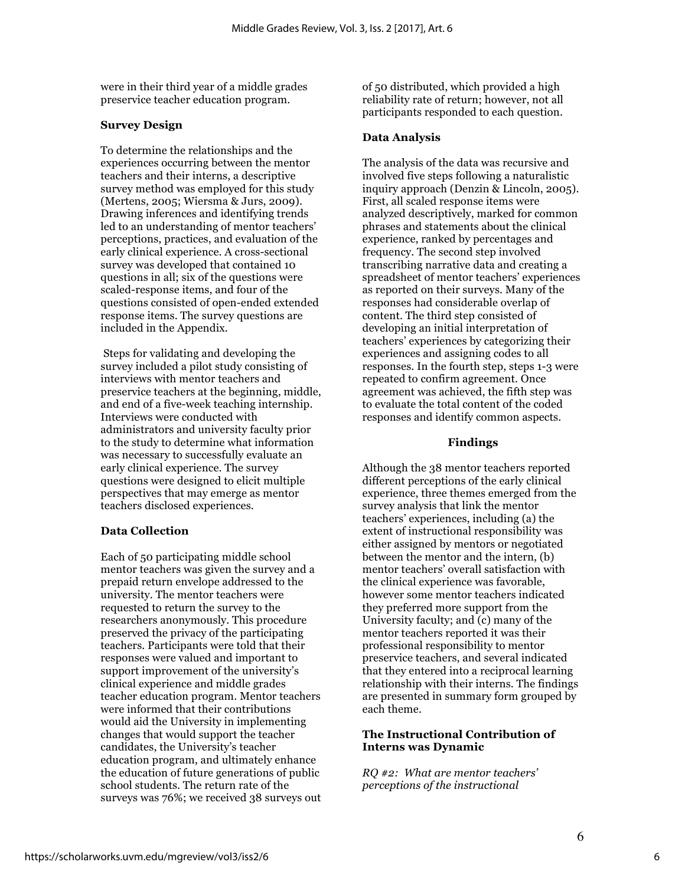were in their third year of a middle grades preservice teacher education program.

#### **Survey Design**

To determine the relationships and the experiences occurring between the mentor teachers and their interns, a descriptive survey method was employed for this study (Mertens, 2005; Wiersma & Jurs, 2009). Drawing inferences and identifying trends led to an understanding of mentor teachers' perceptions, practices, and evaluation of the early clinical experience. A cross-sectional survey was developed that contained 10 questions in all; six of the questions were scaled-response items, and four of the questions consisted of open-ended extended response items. The survey questions are included in the Appendix.

Steps for validating and developing the survey included a pilot study consisting of interviews with mentor teachers and preservice teachers at the beginning, middle, and end of a five-week teaching internship. Interviews were conducted with administrators and university faculty prior to the study to determine what information was necessary to successfully evaluate an early clinical experience. The survey questions were designed to elicit multiple perspectives that may emerge as mentor teachers disclosed experiences.

#### **Data Collection**

Each of 50 participating middle school mentor teachers was given the survey and a prepaid return envelope addressed to the university. The mentor teachers were requested to return the survey to the researchers anonymously. This procedure preserved the privacy of the participating teachers. Participants were told that their responses were valued and important to support improvement of the university's clinical experience and middle grades teacher education program. Mentor teachers were informed that their contributions would aid the University in implementing changes that would support the teacher candidates, the University's teacher education program, and ultimately enhance the education of future generations of public school students. The return rate of the surveys was 76%; we received 38 surveys out of 50 distributed, which provided a high reliability rate of return; however, not all participants responded to each question.

#### **Data Analysis**

The analysis of the data was recursive and involved five steps following a naturalistic inquiry approach (Denzin & Lincoln, 2005). First, all scaled response items were analyzed descriptively, marked for common phrases and statements about the clinical experience, ranked by percentages and frequency. The second step involved transcribing narrative data and creating a spreadsheet of mentor teachers' experiences as reported on their surveys. Many of the responses had considerable overlap of content. The third step consisted of developing an initial interpretation of teachers' experiences by categorizing their experiences and assigning codes to all responses. In the fourth step, steps 1-3 were repeated to confirm agreement. Once agreement was achieved, the fifth step was to evaluate the total content of the coded responses and identify common aspects.

#### **Findings**

Although the 38 mentor teachers reported different perceptions of the early clinical experience, three themes emerged from the survey analysis that link the mentor teachers' experiences, including (a) the extent of instructional responsibility was either assigned by mentors or negotiated between the mentor and the intern, (b) mentor teachers' overall satisfaction with the clinical experience was favorable, however some mentor teachers indicated they preferred more support from the University faculty; and (c) many of the mentor teachers reported it was their professional responsibility to mentor preservice teachers, and several indicated that they entered into a reciprocal learning relationship with their interns. The findings are presented in summary form grouped by each theme.

#### **The Instructional Contribution of Interns was Dynamic**

*RQ #2: What are mentor teachers' perceptions of the instructional*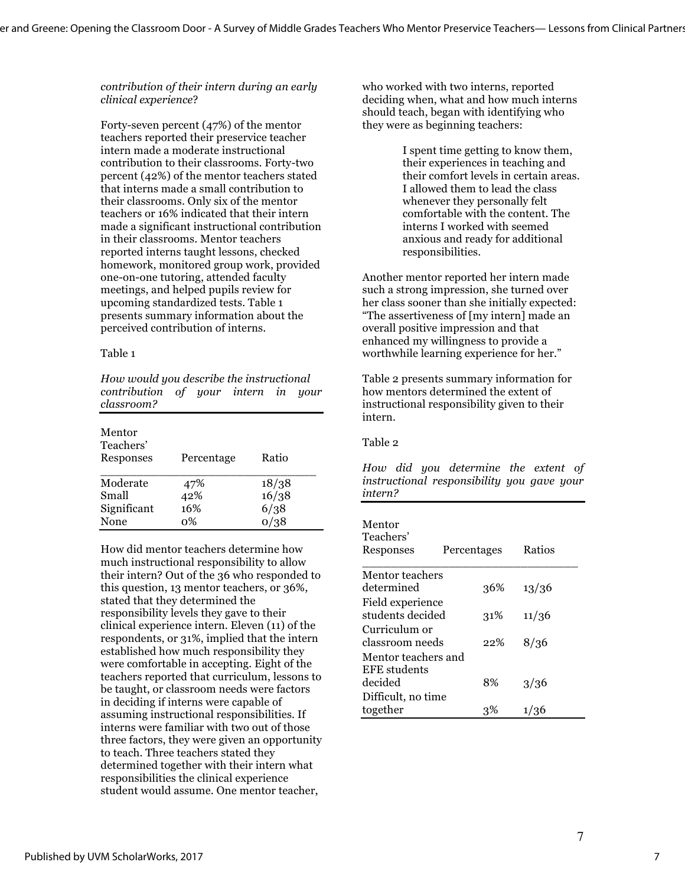*contribution of their intern during an early clinical experience*?

Forty-seven percent (47%) of the mentor teachers reported their preservice teacher intern made a moderate instructional contribution to their classrooms. Forty-two percent (42%) of the mentor teachers stated that interns made a small contribution to their classrooms. Only six of the mentor teachers or 16% indicated that their intern made a significant instructional contribution in their classrooms. Mentor teachers reported interns taught lessons, checked homework, monitored group work, provided one-on-one tutoring, attended faculty meetings, and helped pupils review for upcoming standardized tests. Table 1 presents summary information about the perceived contribution of interns.

#### Table 1

*How would you describe the instructional contribution of your intern in your classroom?*

| Mentor<br>Teachers'<br>Responses | Percentage | Ratio |
|----------------------------------|------------|-------|
| Moderate                         | 47%        | 18/38 |
| Small                            | 42%        | 16/38 |
| Significant                      | 16%        | 6/38  |
| None                             | ი%         |       |

How did mentor teachers determine how much instructional responsibility to allow their intern? Out of the 36 who responded to this question, 13 mentor teachers, or 36%, stated that they determined the responsibility levels they gave to their clinical experience intern. Eleven (11) of the respondents, or 31%, implied that the intern established how much responsibility they were comfortable in accepting. Eight of the teachers reported that curriculum, lessons to be taught, or classroom needs were factors in deciding if interns were capable of assuming instructional responsibilities. If interns were familiar with two out of those three factors, they were given an opportunity to teach. Three teachers stated they determined together with their intern what responsibilities the clinical experience student would assume. One mentor teacher,

who worked with two interns, reported deciding when, what and how much interns should teach, began with identifying who they were as beginning teachers:

> I spent time getting to know them, their experiences in teaching and their comfort levels in certain areas. I allowed them to lead the class whenever they personally felt comfortable with the content. The interns I worked with seemed anxious and ready for additional responsibilities.

Another mentor reported her intern made such a strong impression, she turned over her class sooner than she initially expected: "The assertiveness of [my intern] made an overall positive impression and that enhanced my willingness to provide a worthwhile learning experience for her."

Table 2 presents summary information for how mentors determined the extent of instructional responsibility given to their intern.

#### Table 2

*How did you determine the extent of instructional responsibility you gave your intern?*

| Mentor<br>Teachers'<br>Responses     | Percentages |     | Ratios |
|--------------------------------------|-------------|-----|--------|
| Mentor teachers                      |             |     |        |
| determined                           |             | 36% | 13/36  |
| Field experience<br>students decided |             | 31% | 11/36  |
| Curriculum or                        |             |     |        |
| classroom needs                      |             | 22% | 8/36   |
| Mentor teachers and<br>EFE students  |             |     |        |
| decided                              | 8%          |     | 3/36   |
| Difficult, no time                   |             |     |        |
| together                             | 3%          |     | 1/36   |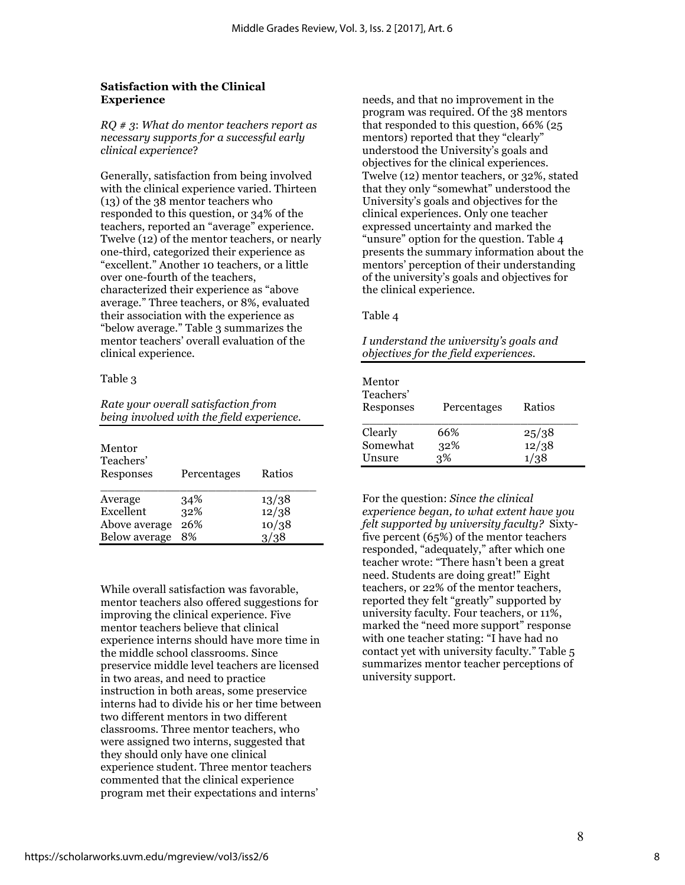### **Satisfaction with the Clinical Experience**

*RQ # 3*: *What do mentor teachers report as necessary supports for a successful early clinical experience*?

Generally, satisfaction from being involved with the clinical experience varied. Thirteen (13) of the 38 mentor teachers who responded to this question, or 34% of the teachers, reported an "average" experience. Twelve (12) of the mentor teachers, or nearly one-third, categorized their experience as "excellent." Another 10 teachers, or a little over one-fourth of the teachers, characterized their experience as "above average." Three teachers, or 8%, evaluated their association with the experience as "below average." Table 3 summarizes the mentor teachers' overall evaluation of the clinical experience.

#### Table 3

| Rate your overall satisfaction from       |  |
|-------------------------------------------|--|
| being involved with the field experience. |  |

| Mentor<br>Teachers'<br>Responses | Percentages | Ratios |
|----------------------------------|-------------|--------|
| Average                          | 34%         | 13/38  |
| Excellent                        | 32%         | 12/38  |
| Above average                    | 26%         | 10/38  |
| Below average                    | 8%          | 3/38   |

While overall satisfaction was favorable, mentor teachers also offered suggestions for improving the clinical experience. Five mentor teachers believe that clinical experience interns should have more time in the middle school classrooms. Since preservice middle level teachers are licensed in two areas, and need to practice instruction in both areas, some preservice interns had to divide his or her time between two different mentors in two different classrooms. Three mentor teachers, who were assigned two interns, suggested that they should only have one clinical experience student. Three mentor teachers commented that the clinical experience program met their expectations and interns'

needs, and that no improvement in the program was required. Of the 38 mentors that responded to this question, 66% (25 mentors) reported that they "clearly" understood the University's goals and objectives for the clinical experiences. Twelve (12) mentor teachers, or 32%, stated that they only "somewhat" understood the University's goals and objectives for the clinical experiences. Only one teacher expressed uncertainty and marked the "unsure" option for the question. Table 4 presents the summary information about the mentors' perception of their understanding of the university's goals and objectives for the clinical experience.

Table 4

| I understand the university's goals and |  |
|-----------------------------------------|--|
| objectives for the field experiences.   |  |

| Mentor<br>Teachers'<br>Responses | Percentages | Ratios |
|----------------------------------|-------------|--------|
| Clearly                          | 66%         | 25/38  |
| Somewhat                         | 32%         | 12/38  |
| Unsure                           | 3%          | 1/38   |

For the question: *Since the clinical experience began, to what extent have you felt supported by university faculty?* Sixtyfive percent (65%) of the mentor teachers responded, "adequately," after which one teacher wrote: "There hasn't been a great need. Students are doing great!" Eight teachers, or 22% of the mentor teachers, reported they felt "greatly" supported by university faculty. Four teachers, or 11%, marked the "need more support" response with one teacher stating: "I have had no contact yet with university faculty." Table 5 summarizes mentor teacher perceptions of university support.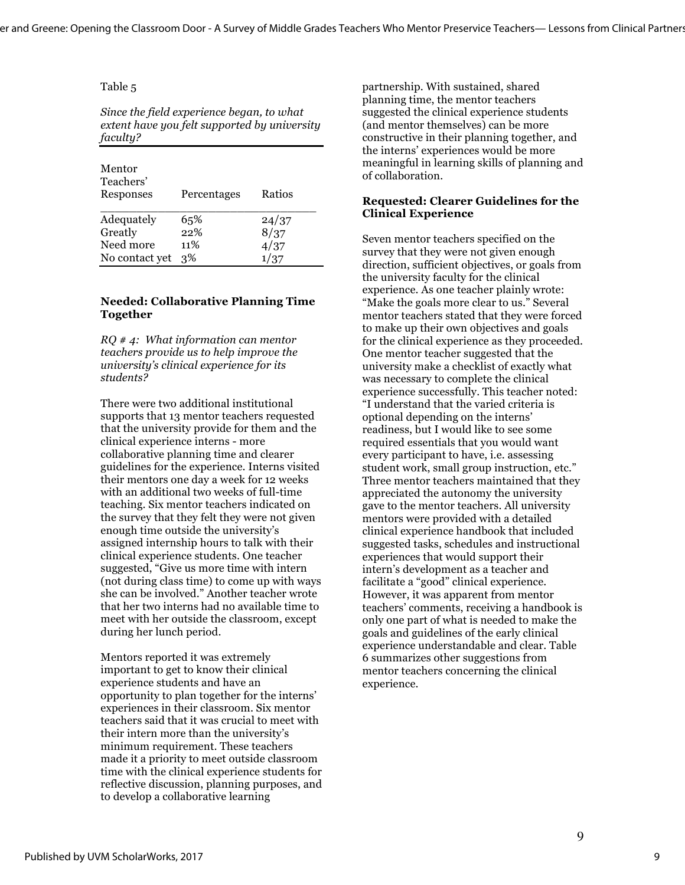#### Table 5

*Since the field experience began, to what extent have you felt supported by university faculty?* 

| Mentor<br>Teachers'<br>Responses | Percentages | Ratios |
|----------------------------------|-------------|--------|
| Adequately                       | 65%         | 24/37  |
| Greatly                          | 22%         | 8/37   |
| Need more                        | 11%         | 4/37   |
| No contact yet                   | 3%          | 1/37   |

#### **Needed: Collaborative Planning Time Together**

*RQ # 4: What information can mentor teachers provide us to help improve the university's clinical experience for its students?*

There were two additional institutional supports that 13 mentor teachers requested that the university provide for them and the clinical experience interns - more collaborative planning time and clearer guidelines for the experience. Interns visited their mentors one day a week for 12 weeks with an additional two weeks of full-time teaching. Six mentor teachers indicated on the survey that they felt they were not given enough time outside the university's assigned internship hours to talk with their clinical experience students. One teacher suggested, "Give us more time with intern (not during class time) to come up with ways she can be involved." Another teacher wrote that her two interns had no available time to meet with her outside the classroom, except during her lunch period.

Mentors reported it was extremely important to get to know their clinical experience students and have an opportunity to plan together for the interns' experiences in their classroom. Six mentor teachers said that it was crucial to meet with their intern more than the university's minimum requirement. These teachers made it a priority to meet outside classroom time with the clinical experience students for reflective discussion, planning purposes, and to develop a collaborative learning

partnership. With sustained, shared planning time, the mentor teachers suggested the clinical experience students (and mentor themselves) can be more constructive in their planning together, and the interns' experiences would be more meaningful in learning skills of planning and of collaboration.

#### **Requested: Clearer Guidelines for the Clinical Experience**

Seven mentor teachers specified on the survey that they were not given enough direction, sufficient objectives, or goals from the university faculty for the clinical experience. As one teacher plainly wrote: "Make the goals more clear to us." Several mentor teachers stated that they were forced to make up their own objectives and goals for the clinical experience as they proceeded. One mentor teacher suggested that the university make a checklist of exactly what was necessary to complete the clinical experience successfully. This teacher noted: "I understand that the varied criteria is optional depending on the interns' readiness, but I would like to see some required essentials that you would want every participant to have, i.e. assessing student work, small group instruction, etc." Three mentor teachers maintained that they appreciated the autonomy the university gave to the mentor teachers. All university mentors were provided with a detailed clinical experience handbook that included suggested tasks, schedules and instructional experiences that would support their intern's development as a teacher and facilitate a "good" clinical experience. However, it was apparent from mentor teachers' comments, receiving a handbook is only one part of what is needed to make the goals and guidelines of the early clinical experience understandable and clear. Table 6 summarizes other suggestions from mentor teachers concerning the clinical experience.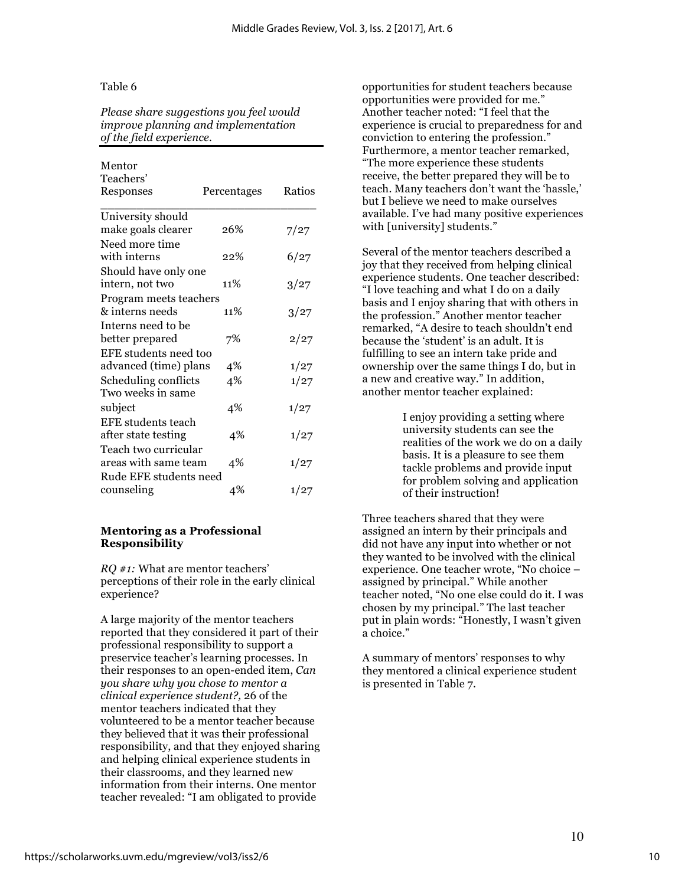#### Table 6

*Please share suggestions you feel would improve planning and implementation of the field experience.* 

#### Mentor Teachers'

| Responses              | Percentages | Ratios |
|------------------------|-------------|--------|
| University should      |             |        |
| make goals clearer     | 26%         | 7/27   |
| Need more time         |             |        |
| with interns           | 22%         | 6/27   |
| Should have only one   |             |        |
| intern, not two        | 11%         | 3/27   |
| Program meets teachers |             |        |
| & interns needs        | 11%         | 3/27   |
| Interns need to be     |             |        |
| better prepared        | 7%          | 2/27   |
| EFE students need too  |             |        |
| advanced (time) plans  | 4%          | 1/27   |
| Scheduling conflicts   | 4%          | 1/27   |
| Two weeks in same      |             |        |
| subject                | 4%          | 1/27   |
| EFE students teach     |             |        |
| after state testing    | 4%          | 1/27   |
| Teach two curricular   |             |        |
| areas with same team   | 4%          | 1/27   |
| Rude EFE students need |             |        |
| counseling             | 4%          | 1/27   |

#### **Mentoring as a Professional Responsibility**

*RQ #1:* What are mentor teachers' perceptions of their role in the early clinical experience?

A large majority of the mentor teachers reported that they considered it part of their professional responsibility to support a preservice teacher's learning processes. In their responses to an open-ended item, *Can you share why you chose to mentor a clinical experience student?,* 26 of the mentor teachers indicated that they volunteered to be a mentor teacher because they believed that it was their professional responsibility, and that they enjoyed sharing and helping clinical experience students in their classrooms, and they learned new information from their interns. One mentor teacher revealed: "I am obligated to provide

opportunities for student teachers because opportunities were provided for me." Another teacher noted: "I feel that the experience is crucial to preparedness for and conviction to entering the profession." Furthermore, a mentor teacher remarked, "The more experience these students receive, the better prepared they will be to teach. Many teachers don't want the 'hassle,' but I believe we need to make ourselves available. I've had many positive experiences with [university] students."

Several of the mentor teachers described a joy that they received from helping clinical experience students. One teacher described: "I love teaching and what I do on a daily basis and I enjoy sharing that with others in the profession." Another mentor teacher remarked, "A desire to teach shouldn't end because the 'student' is an adult. It is fulfilling to see an intern take pride and ownership over the same things I do, but in a new and creative way." In addition, another mentor teacher explained:

> I enjoy providing a setting where university students can see the realities of the work we do on a daily basis. It is a pleasure to see them tackle problems and provide input for problem solving and application of their instruction!

Three teachers shared that they were assigned an intern by their principals and did not have any input into whether or not they wanted to be involved with the clinical experience. One teacher wrote, "No choice – assigned by principal." While another teacher noted, "No one else could do it. I was chosen by my principal." The last teacher put in plain words: "Honestly, I wasn't given a choice."

A summary of mentors' responses to why they mentored a clinical experience student is presented in Table 7.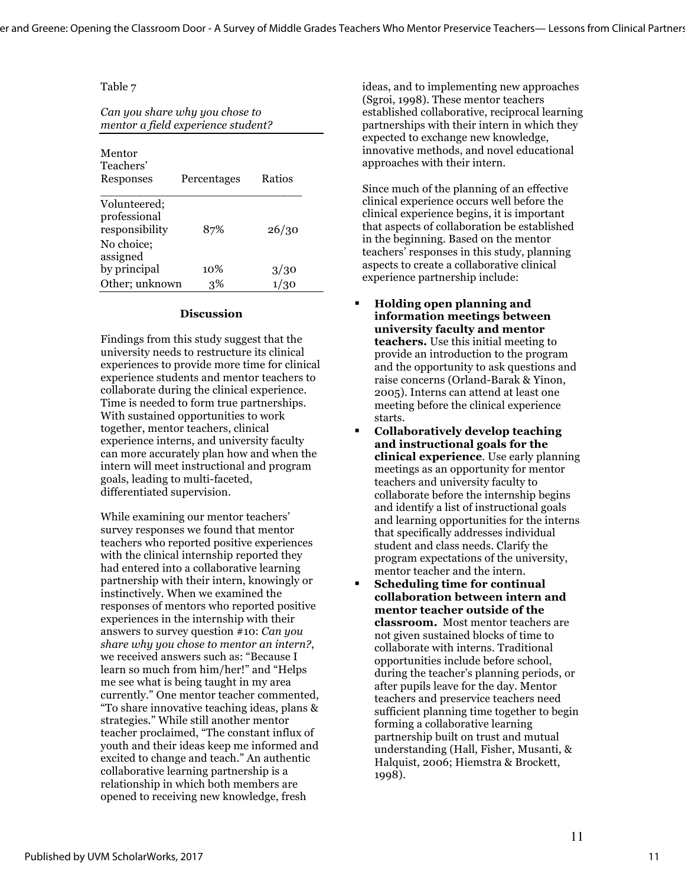#### Table 7

*Can you share why you chose to mentor a field experience student?*

| Mentor<br>Teachers'<br>Responses                             | Percentages | Ratios |
|--------------------------------------------------------------|-------------|--------|
| Volunteered;<br>professional<br>responsibility<br>No choice; | 87%         | 26/30  |
| assigned<br>by principal                                     | 10%         | 3/30   |
| Other; unknown                                               | 3%          |        |

#### **Discussion**

Findings from this study suggest that the university needs to restructure its clinical experiences to provide more time for clinical experience students and mentor teachers to collaborate during the clinical experience. Time is needed to form true partnerships. With sustained opportunities to work together, mentor teachers, clinical experience interns, and university faculty can more accurately plan how and when the intern will meet instructional and program goals, leading to multi-faceted, differentiated supervision.

While examining our mentor teachers' survey responses we found that mentor teachers who reported positive experiences with the clinical internship reported they had entered into a collaborative learning partnership with their intern, knowingly or instinctively. When we examined the responses of mentors who reported positive experiences in the internship with their answers to survey question #10: *Can you share why you chose to mentor an intern?*, we received answers such as: "Because I learn so much from him/her!" and "Helps me see what is being taught in my area currently." One mentor teacher commented, "To share innovative teaching ideas, plans & strategies." While still another mentor teacher proclaimed, "The constant influx of youth and their ideas keep me informed and excited to change and teach." An authentic collaborative learning partnership is a relationship in which both members are opened to receiving new knowledge, fresh

ideas, and to implementing new approaches (Sgroi, 1998). These mentor teachers established collaborative, reciprocal learning partnerships with their intern in which they expected to exchange new knowledge, innovative methods, and novel educational approaches with their intern.

Since much of the planning of an effective clinical experience occurs well before the clinical experience begins, it is important that aspects of collaboration be established in the beginning. Based on the mentor teachers' responses in this study, planning aspects to create a collaborative clinical experience partnership include:

- § **Holding open planning and information meetings between university faculty and mentor teachers.** Use this initial meeting to provide an introduction to the program and the opportunity to ask questions and raise concerns (Orland-Barak & Yinon, 2005). Interns can attend at least one meeting before the clinical experience starts.
- § **Collaboratively develop teaching and instructional goals for the clinical experience**. Use early planning meetings as an opportunity for mentor teachers and university faculty to collaborate before the internship begins and identify a list of instructional goals and learning opportunities for the interns that specifically addresses individual student and class needs. Clarify the program expectations of the university, mentor teacher and the intern.
- § **Scheduling time for continual collaboration between intern and mentor teacher outside of the classroom.** Most mentor teachers are not given sustained blocks of time to collaborate with interns. Traditional opportunities include before school, during the teacher's planning periods, or after pupils leave for the day. Mentor teachers and preservice teachers need sufficient planning time together to begin forming a collaborative learning partnership built on trust and mutual understanding (Hall, Fisher, Musanti, & Halquist, 2006; Hiemstra & Brockett, 1998).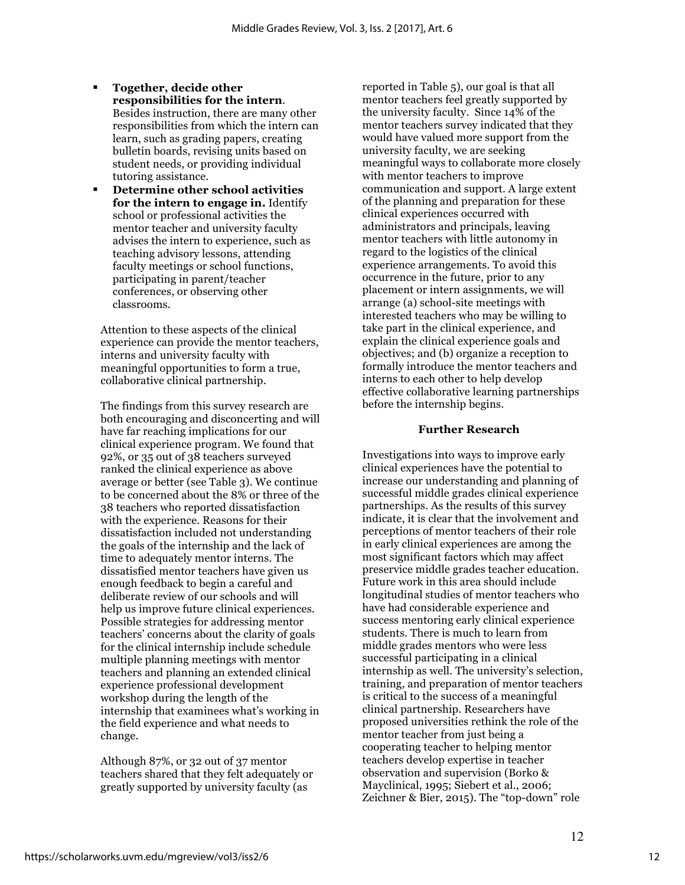- § **Together, decide other responsibilities for the intern**. Besides instruction, there are many other responsibilities from which the intern can learn, such as grading papers, creating bulletin boards, revising units based on student needs, or providing individual tutoring assistance.
- § **Determine other school activities for the intern to engage in.** Identify school or professional activities the mentor teacher and university faculty advises the intern to experience, such as teaching advisory lessons, attending faculty meetings or school functions, participating in parent/teacher conferences, or observing other classrooms.

Attention to these aspects of the clinical experience can provide the mentor teachers, interns and university faculty with meaningful opportunities to form a true, collaborative clinical partnership.

The findings from this survey research are both encouraging and disconcerting and will have far reaching implications for our clinical experience program. We found that 92%, or 35 out of 38 teachers surveyed ranked the clinical experience as above average or better (see Table 3). We continue to be concerned about the 8% or three of the 38 teachers who reported dissatisfaction with the experience. Reasons for their dissatisfaction included not understanding the goals of the internship and the lack of time to adequately mentor interns. The dissatisfied mentor teachers have given us enough feedback to begin a careful and deliberate review of our schools and will help us improve future clinical experiences. Possible strategies for addressing mentor teachers' concerns about the clarity of goals for the clinical internship include schedule multiple planning meetings with mentor teachers and planning an extended clinical experience professional development workshop during the length of the internship that examinees what's working in the field experience and what needs to change.

Although 87%, or 32 out of 37 mentor teachers shared that they felt adequately or greatly supported by university faculty (as

reported in Table 5), our goal is that all mentor teachers feel greatly supported by the university faculty. Since 14% of the mentor teachers survey indicated that they would have valued more support from the university faculty, we are seeking meaningful ways to collaborate more closely with mentor teachers to improve communication and support. A large extent of the planning and preparation for these clinical experiences occurred with administrators and principals, leaving mentor teachers with little autonomy in regard to the logistics of the clinical experience arrangements. To avoid this occurrence in the future, prior to any placement or intern assignments, we will arrange (a) school-site meetings with interested teachers who may be willing to take part in the clinical experience, and explain the clinical experience goals and objectives; and (b) organize a reception to formally introduce the mentor teachers and interns to each other to help develop effective collaborative learning partnerships before the internship begins.

#### **Further Research**

Investigations into ways to improve early clinical experiences have the potential to increase our understanding and planning of successful middle grades clinical experience partnerships. As the results of this survey indicate, it is clear that the involvement and perceptions of mentor teachers of their role in early clinical experiences are among the most significant factors which may affect preservice middle grades teacher education. Future work in this area should include longitudinal studies of mentor teachers who have had considerable experience and success mentoring early clinical experience students. There is much to learn from middle grades mentors who were less successful participating in a clinical internship as well. The university's selection, training, and preparation of mentor teachers is critical to the success of a meaningful clinical partnership. Researchers have proposed universities rethink the role of the mentor teacher from just being a cooperating teacher to helping mentor teachers develop expertise in teacher observation and supervision (Borko & Mayclinical, 1995; Siebert et al., 2006; Zeichner & Bier, 2015). The "top-down" role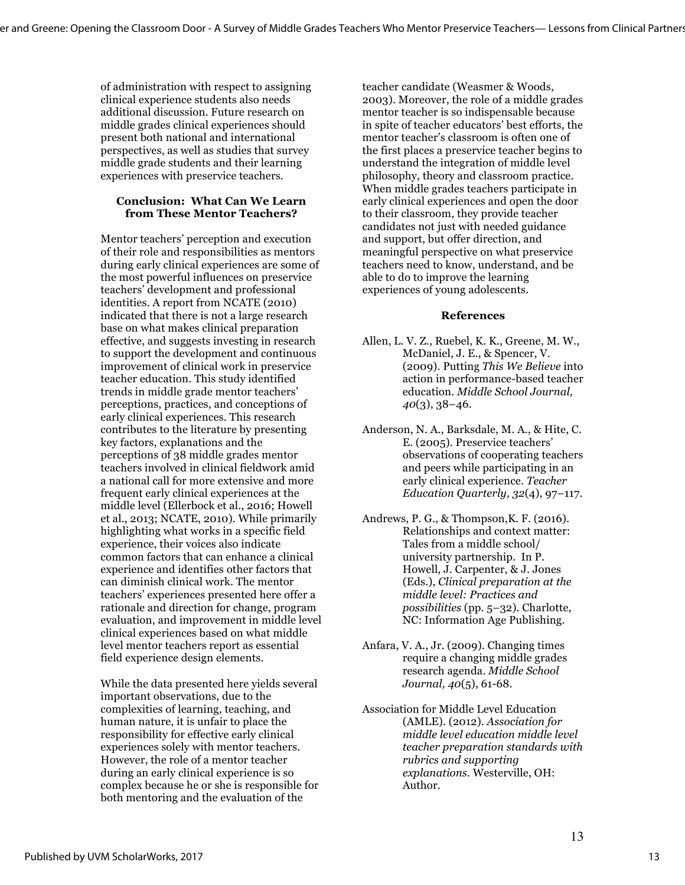of administration with respect to assigning clinical experience students also needs additional discussion. Future research on middle grades clinical experiences should present both national and international perspectives, as well as studies that survey middle grade students and their learning experiences with preservice teachers.

#### **Conclusion: What Can We Learn from These Mentor Teachers?**

Mentor teachers' perception and execution of their role and responsibilities as mentors during early clinical experiences are some of the most powerful influences on preservice teachers' development and professional identities. A report from NCATE (2010) indicated that there is not a large research base on what makes clinical preparation effective, and suggests investing in research to support the development and continuous improvement of clinical work in preservice teacher education. This study identified trends in middle grade mentor teachers' perceptions, practices, and conceptions of early clinical experiences. This research contributes to the literature by presenting key factors, explanations and the perceptions of 38 middle grades mentor teachers involved in clinical fieldwork amid a national call for more extensive and more frequent early clinical experiences at the middle level (Ellerbock et al., 2016; Howell et al., 2013; NCATE, 2010). While primarily highlighting what works in a specific field experience, their voices also indicate common factors that can enhance a clinical experience and identifies other factors that can diminish clinical work. The mentor teachers' experiences presented here offer a rationale and direction for change, program evaluation, and improvement in middle level clinical experiences based on what middle level mentor teachers report as essential field experience design elements.

While the data presented here yields several important observations, due to the complexities of learning, teaching, and human nature, it is unfair to place the responsibility for effective early clinical experiences solely with mentor teachers. However, the role of a mentor teacher during an early clinical experience is so complex because he or she is responsible for both mentoring and the evaluation of the

teacher candidate (Weasmer & Woods, 2003). Moreover, the role of a middle grades mentor teacher is so indispensable because in spite of teacher educators' best efforts, the mentor teacher's classroom is often one of the first places a preservice teacher begins to understand the integration of middle level philosophy, theory and classroom practice. When middle grades teachers participate in early clinical experiences and open the door to their classroom, they provide teacher candidates not just with needed guidance and support, but offer direction, and meaningful perspective on what preservice teachers need to know, understand, and be able to do to improve the learning experiences of young adolescents.

#### **References**

- Allen, L. V. Z., Ruebel, K. K., Greene, M. W., McDaniel, J. E., & Spencer, V. (2009). Putting *This We Believe* into action in performance-based teacher education. *Middle School Journal, 40*(3), 38–46.
- Anderson, N. A., Barksdale, M. A., & Hite, C. E. (2005). Preservice teachers' observations of cooperating teachers and peers while participating in an early clinical experience. *Teacher Education Quarterly, 32*(4), 97–117.
- Andrews, P. G., & Thompson,K. F. (2016). Relationships and context matter: Tales from a middle school/ university partnership. In P. Howell, J. Carpenter, & J. Jones (Eds.), *Clinical preparation at the middle level: Practices and possibilities* (pp. 5–32). Charlotte, NC: Information Age Publishing.
- Anfara, V. A., Jr. (2009). Changing times require a changing middle grades research agenda. *Middle School Journal, 40*(5), 61-68.
- Association for Middle Level Education (AMLE). (2012). *Association for middle level education middle level teacher preparation standards with rubrics and supporting explanations.* Westerville, OH: Author.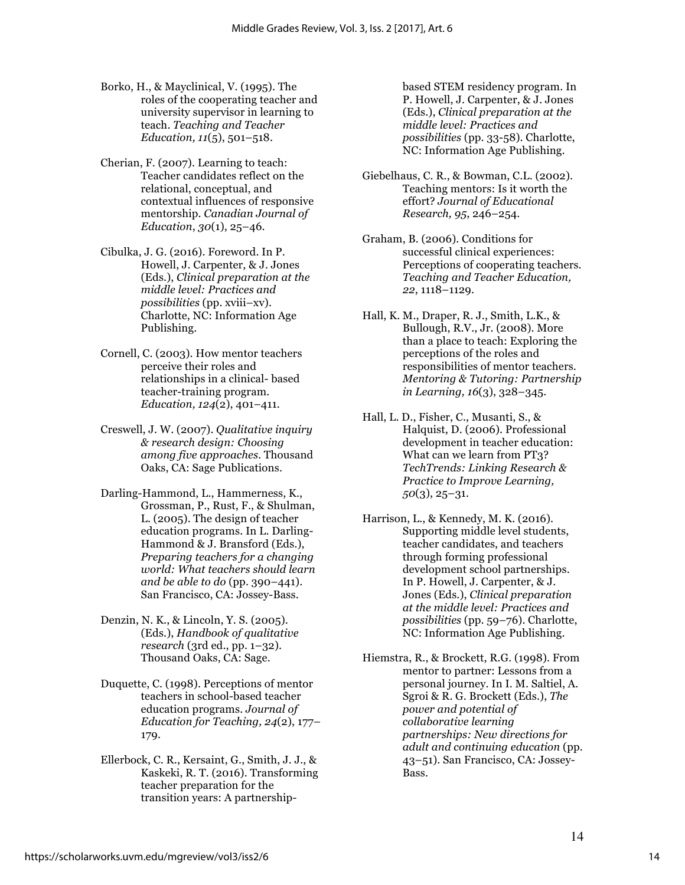- Borko, H., & Mayclinical, V. (1995). The roles of the cooperating teacher and university supervisor in learning to teach. *Teaching and Teacher Education, 11*(5), 501–518.
- Cherian, F. (2007). Learning to teach: Teacher candidates reflect on the relational, conceptual, and contextual influences of responsive mentorship. *Canadian Journal of Education*, *30*(1), 25–46.
- Cibulka, J. G. (2016). Foreword. In P. Howell, J. Carpenter, & J. Jones (Eds.), *Clinical preparation at the middle level: Practices and possibilities* (pp. xviii–xv). Charlotte, NC: Information Age Publishing.
- Cornell, C. (2003). How mentor teachers perceive their roles and relationships in a clinical- based teacher-training program. *Education, 124*(2), 401–411.
- Creswell, J. W. (2007). *Qualitative inquiry & research design: Choosing among five approaches.* Thousand Oaks, CA: Sage Publications.
- Darling-Hammond, L., Hammerness, K., Grossman, P., Rust, F., & Shulman, L. (2005). The design of teacher education programs. In L. Darling-Hammond & J. Bransford (Eds.), *Preparing teachers for a changing world: What teachers should learn and be able to do* (pp. 390–441). San Francisco, CA: Jossey-Bass.
- Denzin, N. K., & Lincoln, Y. S. (2005). (Eds.), *Handbook of qualitative research* (3rd ed., pp. 1–32). Thousand Oaks, CA: Sage.
- Duquette, C. (1998). Perceptions of mentor teachers in school-based teacher education programs. *Journal of Education for Teaching, 24*(2), 177– 179.
- Ellerbock, C. R., Kersaint, G., Smith, J. J., & Kaskeki, R. T. (2016). Transforming teacher preparation for the transition years: A partnership-

based STEM residency program. In P. Howell, J. Carpenter, & J. Jones (Eds.), *Clinical preparation at the middle level: Practices and possibilities* (pp. 33-58). Charlotte, NC: Information Age Publishing.

- Giebelhaus, C. R., & Bowman, C.L. (2002). Teaching mentors: Is it worth the effort? *Journal of Educational Research, 95*, 246–254.
- Graham, B. (2006). Conditions for successful clinical experiences: Perceptions of cooperating teachers. *Teaching and Teacher Education, 22*, 1118–1129.
- Hall, K. M., Draper, R. J., Smith, L.K., & Bullough, R.V., Jr. (2008). More than a place to teach: Exploring the perceptions of the roles and responsibilities of mentor teachers. *Mentoring & Tutoring: Partnership in Learning, 16*(3), 328–345.
- Hall, L. D., Fisher, C., Musanti, S., & Halquist, D. (2006). Professional development in teacher education: What can we learn from PT3? *TechTrends: Linking Research & Practice to Improve Learning, 50*(3), 25–31.
- Harrison, L., & Kennedy, M. K. (2016). Supporting middle level students, teacher candidates, and teachers through forming professional development school partnerships. In P. Howell, J. Carpenter, & J. Jones (Eds.), *Clinical preparation at the middle level: Practices and possibilities* (pp. 59–76). Charlotte, NC: Information Age Publishing.
- Hiemstra, R., & Brockett, R.G. (1998). From mentor to partner: Lessons from a personal journey. In I. M. Saltiel, A. Sgroi & R. G. Brockett (Eds.), *The power and potential of collaborative learning partnerships: New directions for adult and continuing education* (pp. 43–51). San Francisco, CA: Jossey-Bass.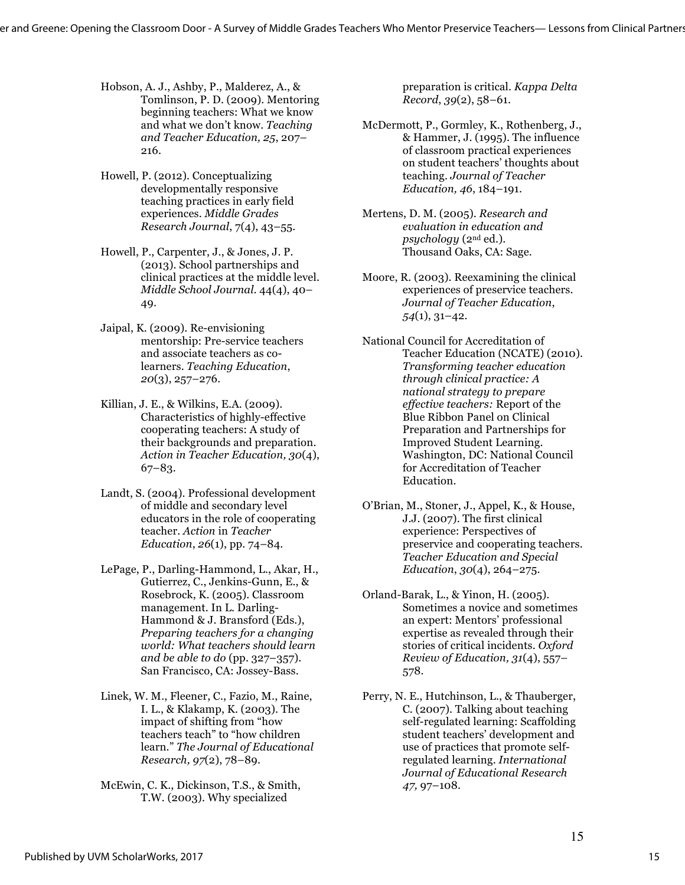- Hobson, A. J., Ashby, P., Malderez, A., & Tomlinson, P. D. (2009). Mentoring beginning teachers: What we know and what we don't know. *Teaching and Teacher Education, 25*, 207– 216.
- Howell, P. (2012). Conceptualizing developmentally responsive teaching practices in early field experiences. *Middle Grades Research Journal*, 7(4), 43–55.
- Howell, P., Carpenter, J., & Jones, J. P. (2013). School partnerships and clinical practices at the middle level. *Middle School Journal*. 44(4), 40– 49.
- Jaipal, K. (2009). Re-envisioning mentorship: Pre-service teachers and associate teachers as colearners. *Teaching Education*, *20*(3), 257–276.
- Killian, J. E., & Wilkins, E.A. (2009). Characteristics of highly-effective cooperating teachers: A study of their backgrounds and preparation. *Action in Teacher Education, 30*(4), 67–83.
- Landt, S. (2004). Professional development of middle and secondary level educators in the role of cooperating teacher. *Action* in *Teacher Education*, *26*(1), pp. 74–84.
- LePage, P., Darling-Hammond, L., Akar, H., Gutierrez, C., Jenkins-Gunn, E., & Rosebrock, K. (2005). Classroom management. In L. Darling-Hammond & J. Bransford (Eds.), *Preparing teachers for a changing world: What teachers should learn and be able to do* (pp. 327–357). San Francisco, CA: Jossey-Bass.
- Linek, W. M., Fleener, C., Fazio, M., Raine, I. L., & Klakamp, K. (2003). The impact of shifting from "how teachers teach" to "how children learn." *The Journal of Educational Research, 97*(2), 78–89.
- McEwin, C. K., Dickinson, T.S., & Smith, T.W. (2003). Why specialized

preparation is critical. *Kappa Delta Record*, *39*(2), 58–61.

- McDermott, P., Gormley, K., Rothenberg, J., & Hammer, J. (1995). The influence of classroom practical experiences on student teachers' thoughts about teaching. *Journal of Teacher Education, 46*, 184–191.
- Mertens, D. M. (2005). *Research and evaluation in education and psychology* (2nd ed.). Thousand Oaks, CA: Sage.
- Moore, R. (2003). Reexamining the clinical experiences of preservice teachers. *Journal of Teacher Education*, *54*(1), 31–42.
- National Council for Accreditation of Teacher Education (NCATE) (2010). *Transforming teacher education through clinical practice: A national strategy to prepare effective teachers:* Report of the Blue Ribbon Panel on Clinical Preparation and Partnerships for Improved Student Learning. Washington, DC: National Council for Accreditation of Teacher Education.
- O'Brian, M., Stoner, J., Appel, K., & House, J.J. (2007). The first clinical experience: Perspectives of preservice and cooperating teachers. *Teacher Education and Special Education*, *30*(4), 264–275.
- Orland-Barak, L., & Yinon, H. (2005). Sometimes a novice and sometimes an expert: Mentors' professional expertise as revealed through their stories of critical incidents. *Oxford Review of Education, 31*(4), 557– 578.
- Perry, N. E., Hutchinson, L., & Thauberger, C. (2007). Talking about teaching self-regulated learning: Scaffolding student teachers' development and use of practices that promote selfregulated learning. *International Journal of Educational Research 47,* 97–108.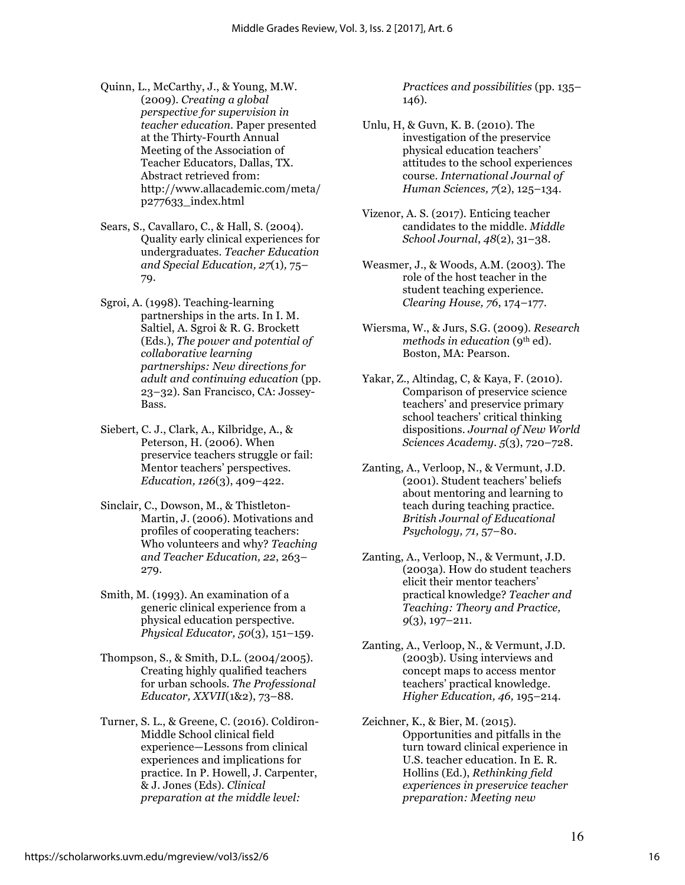- Quinn, L., McCarthy, J., & Young, M.W. (2009). *Creating a global perspective for supervision in teacher education*. Paper presented at the Thirty-Fourth Annual Meeting of the Association of Teacher Educators, Dallas, TX. Abstract retrieved from: http://www.allacademic.com/meta/ p277633\_index.html
- Sears, S., Cavallaro, C., & Hall, S. (2004). Quality early clinical experiences for undergraduates. *Teacher Education and Special Education, 27*(1)*,* 75– 79.
- Sgroi, A. (1998). Teaching-learning partnerships in the arts. In I. M. Saltiel, A. Sgroi & R. G. Brockett (Eds.), *The power and potential of collaborative learning partnerships: New directions for adult and continuing education* (pp. 23–32). San Francisco, CA: Jossey-Bass.
- Siebert, C. J., Clark, A., Kilbridge, A., & Peterson, H. (2006). When preservice teachers struggle or fail: Mentor teachers' perspectives. *Education, 126*(3), 409–422.
- Sinclair, C., Dowson, M., & Thistleton-Martin, J. (2006). Motivations and profiles of cooperating teachers: Who volunteers and why? *Teaching and Teacher Education, 22*, 263– 279.
- Smith, M. (1993). An examination of a generic clinical experience from a physical education perspective. *Physical Educator, 50*(3), 151–159.
- Thompson, S., & Smith, D.L. (2004/2005). Creating highly qualified teachers for urban schools. *The Professional Educator, XXVII*(1&2), 73–88.
- Turner, S. L., & Greene, C. (2016). Coldiron-Middle School clinical field experience—Lessons from clinical experiences and implications for practice. In P. Howell, J. Carpenter, & J. Jones (Eds). *Clinical preparation at the middle level:*

*Practices and possibilities* (pp. 135– 146).

- Unlu, H, & Guvn, K. B. (2010). The investigation of the preservice physical education teachers' attitudes to the school experiences course. *International Journal of Human Sciences, 7*(2), 125–134.
- Vizenor, A. S. (2017). Enticing teacher candidates to the middle. *Middle School Journal*, *48*(2), 31–38.
- Weasmer, J., & Woods, A.M. (2003). The role of the host teacher in the student teaching experience. *Clearing House, 76*, 174–177.
- Wiersma, W., & Jurs, S.G. (2009). *Research methods in education* (9<sup>th</sup> ed). Boston, MA: Pearson.
- Yakar, Z., Altindag, C, & Kaya, F. (2010). Comparison of preservice science teachers' and preservice primary school teachers' critical thinking dispositions. *Journal of New World Sciences Academy. 5*(3), 720–728.
- Zanting, A., Verloop, N., & Vermunt, J.D. (2001). Student teachers' beliefs about mentoring and learning to teach during teaching practice. *British Journal of Educational Psychology, 71,* 57–80.
- Zanting, A., Verloop, N., & Vermunt, J.D. (2003a). How do student teachers elicit their mentor teachers' practical knowledge? *Teacher and Teaching: Theory and Practice, 9*(3), 197–211.
- Zanting, A., Verloop, N., & Vermunt, J.D. (2003b). Using interviews and concept maps to access mentor teachers' practical knowledge. *Higher Education, 46,* 195–214.
- Zeichner, K., & Bier, M. (2015). Opportunities and pitfalls in the turn toward clinical experience in U.S. teacher education. In E. R. Hollins (Ed.), *Rethinking field experiences in preservice teacher preparation: Meeting new*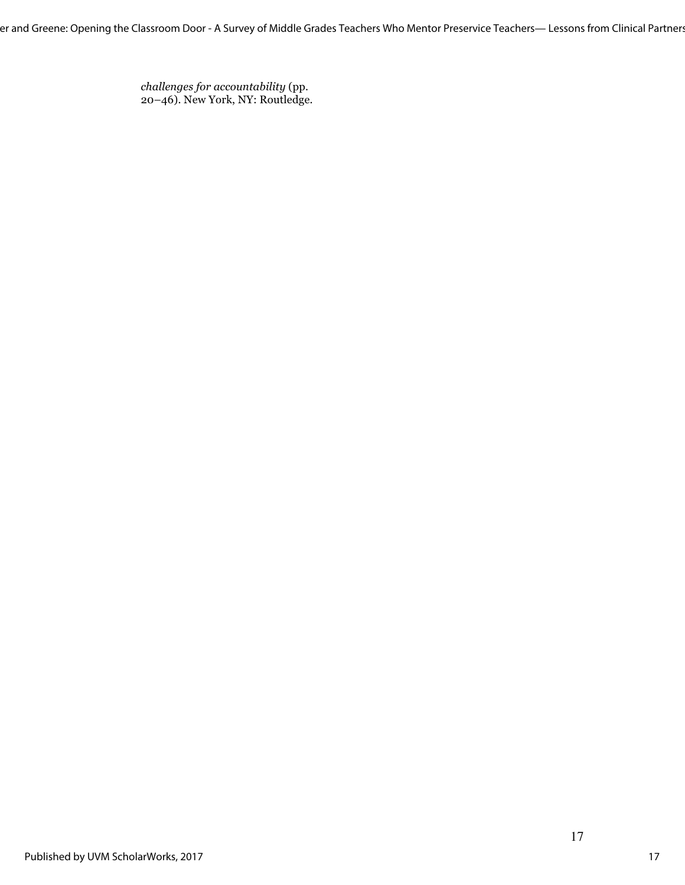er and Greene: Opening the Classroom Door - A Survey of Middle Grades Teachers Who Mentor Preservice Teachers— Lessons from Clinical Partner:

*challenges for accountability* (pp. 20–46). New York, NY: Routledge.